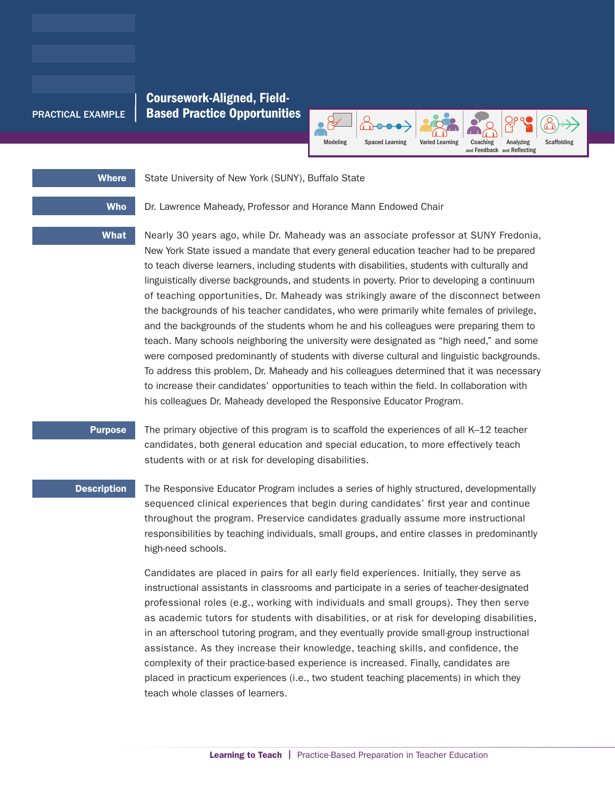## Coursework-Aligned, Field-PRACTICAL EXAMPLE | Based Practice Opportunities



# Where State University of New York (SUNY), Buffalo State

Who Dr. Lawrence Maheady, Professor and Horance Mann Endowed Chair

What Nearly 30 years ago, while Dr. Maheady was an associate professor at SUNY Fredonia, New York State issued a mandate that every general education teacher had to be prepared to teach diverse learners, including students with disabilities, students with culturally and linguistically diverse backgrounds, and students in poverty. Prior to developing a continuum of teaching opportunities, Dr. Maheady was strikingly aware of the disconnect between the backgrounds of his teacher candidates, who were primarily white females of privilege,

and the backgrounds of the students whom he and his colleagues were preparing them to teach. Many schools neighboring the university were designated as "high need," and some were composed predominantly of students with diverse cultural and linguistic backgrounds. To address this problem, Dr. Maheady and his colleagues determined that it was necessary to increase their candidates' opportunities to teach within the field. In collaboration with his colleagues Dr. Maheady developed the Responsive Educator Program.

Purpose The primary objective of this program is to scaffold the experiences of all K-12 teacher candidates, both general education and special education, to more effectively teach students with or at risk for developing disabilities.

**Description** The Responsive Educator Program includes a series of highly structured, developmentally sequenced clinical experiences that begin during candidates' first year and continue throughout the program. Preservice candidates gradually assume more instructional responsibilities by teaching individuals, small groups, and entire classes in predominantly high-need schools.

> Candidates are placed in pairs for all early field experiences. Initially, they serve as instructional assistants in classrooms and participate in a series of teacher-designated professional roles (e.g., working with individuals and small groups). They then serve as academic tutors for students with disabilities, or at risk for developing disabilities, in an afterschool tutoring program, and they eventually provide small-group instructional assistance. As they increase their knowledge, teaching skills, and confidence, the complexity of their practice-based experience is increased. Finally, candidates are placed in practicum experiences (i.e., two student teaching placements) in which they teach whole classes of learners.